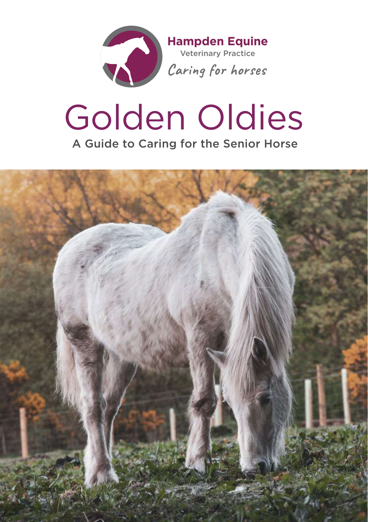

# Golden Oldies A Guide to Caring for the Senior Horse

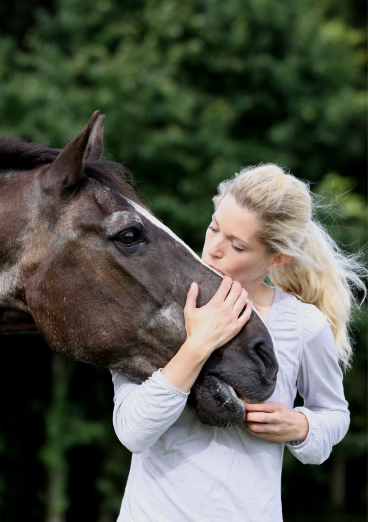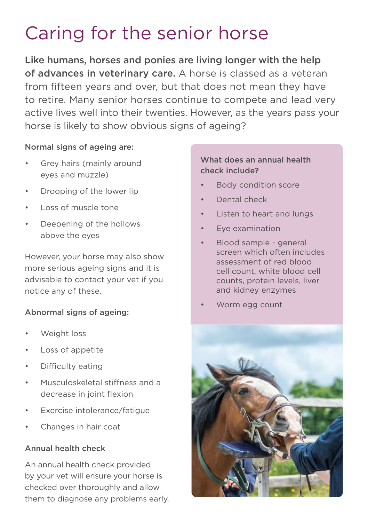# Caring for the senior horse

Like humans, horses and ponies are living longer with the help of advances in veterinary care. A horse is classed as a veteran from fifteen years and over, but that does not mean they have to retire. Many senior horses continue to compete and lead very active lives well into their twenties. However, as the years pass your horse is likely to show obvious signs of ageing?

### Normal signs of ageing are:

- Grey hairs (mainly around eyes and muzzle)
- Drooping of the lower lip
- Loss of muscle tone
- Deepening of the hollows above the eyes

However, your horse may also show more serious ageing signs and it is advisable to contact your vet if you notice any of these.

### Abnormal signs of ageing:

- Weight loss
- Loss of appetite
- Difficulty eating
- Musculoskeletal stiffness and a decrease in joint flexion
- Exercise intolerance/fatique
- Changes in hair coat

### Annual health check

An annual health check provided by your vet will ensure your horse is checked over thoroughly and allow them to diagnose any problems early.

### What does an annual health check include?

- Body condition score
- Dental check
- Listen to heart and lungs
- Eye examination
- Blood sample general screen which often includes assessment of red blood cell count, white blood cell counts, protein levels, liver and kidney enzymes
- Worm egg count

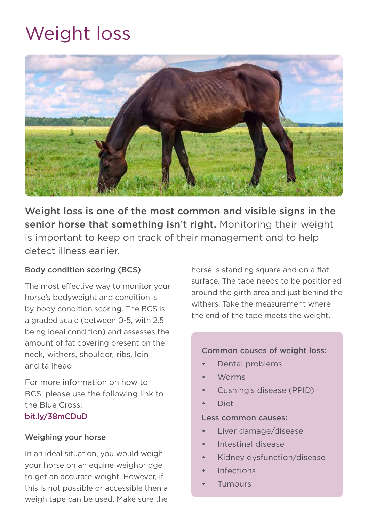# Weight loss



Weight loss is one of the most common and visible signs in the senior horse that something isn't right. Monitoring their weight is important to keep on track of their management and to help detect illness earlier.

### Body condition scoring (BCS)

The most effective way to monitor your horse's bodyweight and condition is by body condition scoring. The BCS is a graded scale (between 0-5, with 2.5 being ideal condition) and assesses the amount of fat covering present on the neck, withers, shoulder, ribs, loin and tailhead.

For more information on how to BCS, please use the following link to the Blue Cross: bit.ly/38mCDuD

### Weighing your horse

In an ideal situation, you would weigh your horse on an equine weighbridge to get an accurate weight. However, if this is not possible or accessible then a weigh tape can be used. Make sure the

horse is standing square and on a flat surface. The tape needs to be positioned around the girth area and just behind the withers. Take the measurement where the end of the tape meets the weight.

#### Common causes of weight loss:

- Dental problems
- Worms
- Cushing's disease (PPID)
- Diet

#### Less common causes:

- Liver damage/disease
- Intestinal disease
- Kidney dysfunction/disease
- **Infections**
- Tumours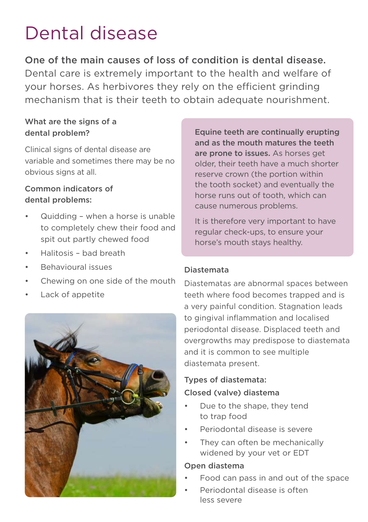# Dental disease

One of the main causes of loss of condition is dental disease. Dental care is extremely important to the health and welfare of

your horses. As herbivores they rely on the efficient grinding mechanism that is their teeth to obtain adequate nourishment.

### What are the signs of a dental problem?

Clinical signs of dental disease are variable and sometimes there may be no obvious signs at all.

### Common indicators of dental problems:

- Quidding when a horse is unable to completely chew their food and spit out partly chewed food
- Halitosis bad breath
- Behavioural issues
- Chewing on one side of the mouth
- Lack of appetite



Equine teeth are continually erupting and as the mouth matures the teeth are prone to issues. As horses get older, their teeth have a much shorter reserve crown (the portion within the tooth socket) and eventually the horse runs out of tooth, which can cause numerous problems.

It is therefore very important to have regular check-ups, to ensure your horse's mouth stays healthy.

### Diastemata

Diastematas are abnormal spaces between teeth where food becomes trapped and is a very painful condition. Stagnation leads to gingival inflammation and localised periodontal disease. Displaced teeth and overgrowths may predispose to diastemata and it is common to see multiple diastemata present.

### Types of diastemata:

### Closed (valve) diastema

- Due to the shape, they tend to trap food
- Periodontal disease is severe
- They can often be mechanically widened by your vet or EDT

### Open diastema

- Food can pass in and out of the space
- Periodontal disease is often less severe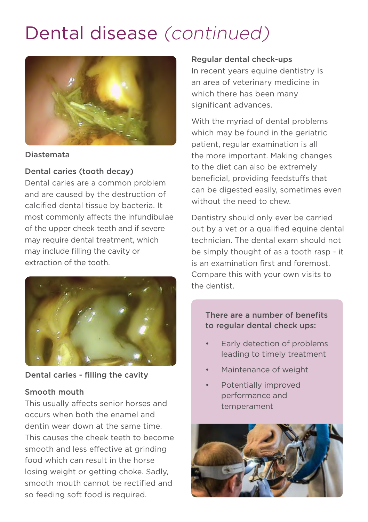# Dental disease (continued)



#### Diastemata

#### Dental caries (tooth decay)

Dental caries are a common problem and are caused by the destruction of calcified dental tissue by bacteria. It most commonly affects the infundibulae of the upper cheek teeth and if severe may require dental treatment, which may include filling the cavity or extraction of the tooth.





#### Smooth mouth

This usually affects senior horses and occurs when both the enamel and dentin wear down at the same time. This causes the cheek teeth to become smooth and less effective at grinding food which can result in the horse losing weight or getting choke. Sadly, smooth mouth cannot be rectified and so feeding soft food is required.

#### Regular dental check-ups

In recent years equine dentistry is an area of veterinary medicine in which there has been many significant advances.

With the myriad of dental problems which may be found in the geriatric patient, regular examination is all the more important. Making changes to the diet can also be extremely beneficial, providing feedstuffs that can be digested easily, sometimes even without the need to chew.

Dentistry should only ever be carried out by a vet or a qualified equine dental technician. The dental exam should not be simply thought of as a tooth rasp - it is an examination first and foremost. Compare this with your own visits to the dentist.

### There are a number of benefits to regular dental check ups:

- Early detection of problems leading to timely treatment
- Maintenance of weight
- Potentially improved performance and temperament

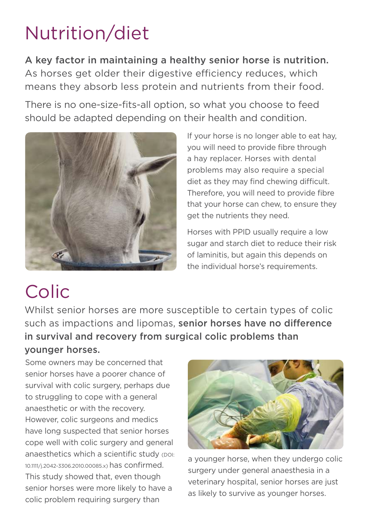# Nutrition/diet

A key factor in maintaining a healthy senior horse is nutrition. As horses get older their digestive efficiency reduces, which means they absorb less protein and nutrients from their food.

There is no one-size-fits-all option, so what you choose to feed should be adapted depending on their health and condition.



If your horse is no longer able to eat hay, you will need to provide fibre through a hay replacer. Horses with dental problems may also require a special diet as they may find chewing difficult. Therefore, you will need to provide fibre that your horse can chew, to ensure they get the nutrients they need.

Horses with PPID usually require a low sugar and starch diet to reduce their risk of laminitis, but again this depends on the individual horse's requirements.

# **Colic**

Whilst senior horses are more susceptible to certain types of colic such as impactions and lipomas, senior horses have no difference in survival and recovery from surgical colic problems than younger horses.

Some owners may be concerned that senior horses have a poorer chance of survival with colic surgery, perhaps due to struggling to cope with a general anaesthetic or with the recovery. However, colic surgeons and medics have long suspected that senior horses cope well with colic surgery and general anaesthetics which a scientific study (DOI: 10.1111/j.2042-3306.2010.00085.x) has confirmed. This study showed that, even though senior horses were more likely to have a colic problem requiring surgery than



a younger horse, when they undergo colic surgery under general anaesthesia in a veterinary hospital, senior horses are just as likely to survive as younger horses.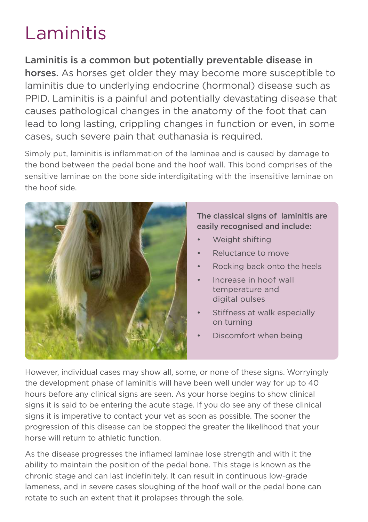# Laminitis

Laminitis is a common but potentially preventable disease in horses. As horses get older they may become more susceptible to laminitis due to underlying endocrine (hormonal) disease such as PPID. Laminitis is a painful and potentially devastating disease that causes pathological changes in the anatomy of the foot that can lead to long lasting, crippling changes in function or even, in some cases, such severe pain that euthanasia is required.

Simply put, laminitis is inflammation of the laminae and is caused by damage to the bond between the pedal bone and the hoof wall. This bond comprises of the sensitive laminae on the bone side interdigitating with the insensitive laminae on the hoof side.



### The classical signs of laminitis are easily recognised and include:

- Weight shifting
- Reluctance to move
- Rocking back onto the heels
- Increase in hoof wall temperature and digital pulses
- Stiffness at walk especially on turning
- Discomfort when being

However, individual cases may show all, some, or none of these signs. Worryingly the development phase of laminitis will have been well under way for up to 40 hours before any clinical signs are seen. As your horse begins to show clinical signs it is said to be entering the acute stage. If you do see any of these clinical signs it is imperative to contact your vet as soon as possible. The sooner the progression of this disease can be stopped the greater the likelihood that your horse will return to athletic function.

As the disease progresses the inflamed laminae lose strength and with it the ability to maintain the position of the pedal bone. This stage is known as the chronic stage and can last indefinitely. It can result in continuous low-grade lameness, and in severe cases sloughing of the hoof wall or the pedal bone can rotate to such an extent that it prolapses through the sole.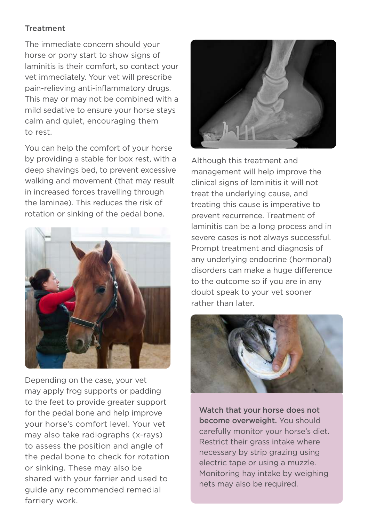### Treatment

The immediate concern should your horse or pony start to show signs of laminitis is their comfort, so contact your vet immediately. Your vet will prescribe pain-relieving anti-inflammatory drugs. This may or may not be combined with a mild sedative to ensure your horse stays calm and quiet, encouraging them to rest.

You can help the comfort of your horse by providing a stable for box rest, with a deep shavings bed, to prevent excessive walking and movement (that may result in increased forces travelling through the laminae). This reduces the risk of rotation or sinking of the pedal bone.



Depending on the case, your vet may apply frog supports or padding to the feet to provide greater support for the pedal bone and help improve your horse's comfort level. Your vet may also take radiographs (x-rays) to assess the position and angle of the pedal bone to check for rotation or sinking. These may also be shared with your farrier and used to guide any recommended remedial farriery work.



Although this treatment and management will help improve the clinical signs of laminitis it will not treat the underlying cause, and treating this cause is imperative to prevent recurrence. Treatment of laminitis can be a long process and in severe cases is not always successful. Prompt treatment and diagnosis of any underlying endocrine (hormonal) disorders can make a huge difference to the outcome so if you are in any doubt speak to your vet sooner rather than later.



Watch that your horse does not become overweight. You should carefully monitor your horse's diet. Restrict their grass intake where necessary by strip grazing using electric tape or using a muzzle. Monitoring hay intake by weighing nets may also be required.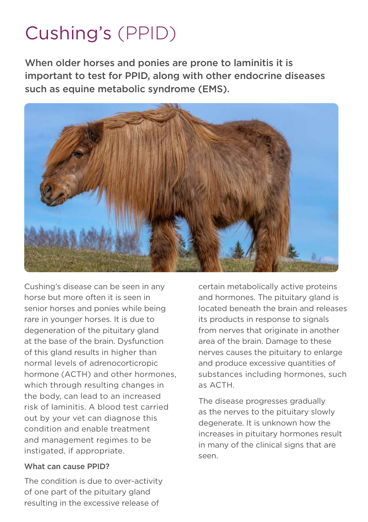# Cushing's (PPID)

When older horses and ponies are prone to laminitis it is important to test for PPID, along with other endocrine diseases such as equine metabolic syndrome (EMS).



Cushing's disease can be seen in any horse but more often it is seen in senior horses and ponies while being rare in younger horses. It is due to degeneration of the pituitary gland at the base of the brain. Dysfunction of this gland results in higher than normal levels of adrenocorticropic hormone (ACTH) and other hormones, which through resulting changes in the body, can lead to an increased risk of laminitis. A blood test carried out by your vet can diagnose this condition and enable treatment and management regimes to be instigated, if appropriate.

#### What can cause PPID?

The condition is due to over-activity of one part of the pituitary gland resulting in the excessive release of

certain metabolically active proteins and hormones. The pituitary gland is located beneath the brain and releases its products in response to signals from nerves that originate in another area of the brain. Damage to these nerves causes the pituitary to enlarge and produce excessive quantities of substances including hormones, such as ACTH.

The disease progresses gradually as the nerves to the pituitary slowly degenerate. It is unknown how the increases in pituitary hormones result in many of the clinical signs that are seen.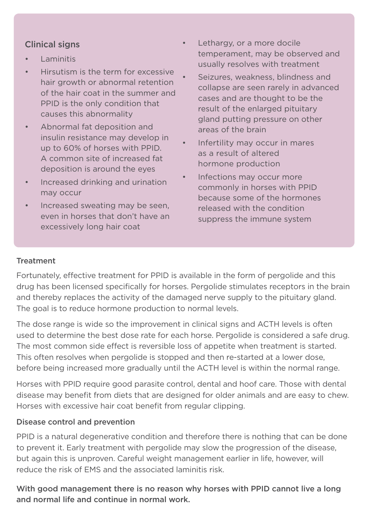### Clinical signs

- Laminitis
- Hirsutism is the term for excessive hair growth or abnormal retention of the hair coat in the summer and PPID is the only condition that causes this abnormality
- Abnormal fat deposition and insulin resistance may develop in up to 60% of horses with PPID. A common site of increased fat deposition is around the eyes
- Increased drinking and urination may occur
- Increased sweating may be seen, even in horses that don't have an excessively long hair coat
- Lethargy, or a more docile temperament, may be observed and usually resolves with treatment
- Seizures, weakness, blindness and collapse are seen rarely in advanced cases and are thought to be the result of the enlarged pituitary gland putting pressure on other areas of the brain
- Infertility may occur in mares as a result of altered hormone production
- Infections may occur more commonly in horses with PPID because some of the hormones released with the condition suppress the immune system

### Treatment

Fortunately, effective treatment for PPID is available in the form of pergolide and this drug has been licensed specifically for horses. Pergolide stimulates receptors in the brain and thereby replaces the activity of the damaged nerve supply to the pituitary gland. The goal is to reduce hormone production to normal levels.

The dose range is wide so the improvement in clinical signs and ACTH levels is often used to determine the best dose rate for each horse. Pergolide is considered a safe drug. The most common side effect is reversible loss of appetite when treatment is started. This often resolves when pergolide is stopped and then re-started at a lower dose, before being increased more gradually until the ACTH level is within the normal range.

Horses with PPID require good parasite control, dental and hoof care. Those with dental disease may benefit from diets that are designed for older animals and are easy to chew. Horses with excessive hair coat benefit from regular clipping.

### Disease control and prevention

PPID is a natural degenerative condition and therefore there is nothing that can be done to prevent it. Early treatment with pergolide may slow the progression of the disease, but again this is unproven. Careful weight management earlier in life, however, will reduce the risk of EMS and the associated laminitis risk.

With good management there is no reason why horses with PPID cannot live a long and normal life and continue in normal work.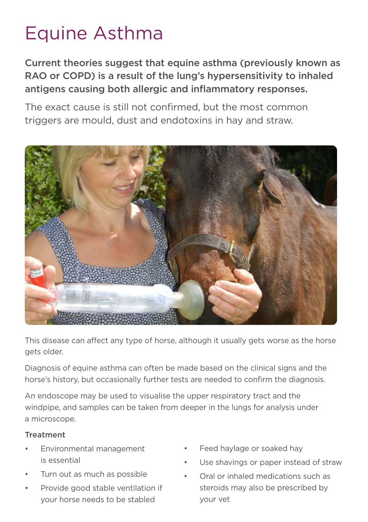# Equine Asthma

Current theories suggest that equine asthma (previously known as RAO or COPD) is a result of the lung's hypersensitivity to inhaled antigens causing both allergic and inflammatory responses.

The exact cause is still not confirmed, but the most common triggers are mould, dust and endotoxins in hay and straw.



This disease can affect any type of horse, although it usually gets worse as the horse gets older.

Diagnosis of equine asthma can often be made based on the clinical signs and the horse's history, but occasionally further tests are needed to confirm the diagnosis.

An endoscope may be used to visualise the upper respiratory tract and the windpipe, and samples can be taken from deeper in the lungs for analysis under a microscope.

#### Treatment

- Environmental management is essential
- Turn out as much as possible
- Provide good stable ventilation if your horse needs to be stabled
- Feed haylage or soaked hay
- Use shavings or paper instead of straw
- Oral or inhaled medications such as steroids may also be prescribed by your vet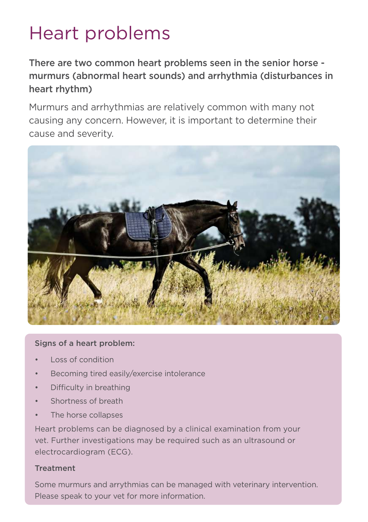# Heart problems

There are two common heart problems seen in the senior horse murmurs (abnormal heart sounds) and arrhythmia (disturbances in heart rhythm)

Murmurs and arrhythmias are relatively common with many not causing any concern. However, it is important to determine their cause and severity.



#### Signs of a heart problem:

- Loss of condition
- Becoming tired easily/exercise intolerance
- Difficulty in breathing
- Shortness of breath
- The horse collapses

Heart problems can be diagnosed by a clinical examination from your vet. Further investigations may be required such as an ultrasound or electrocardiogram (ECG).

#### Treatment

Some murmurs and arrythmias can be managed with veterinary intervention. Please speak to your vet for more information.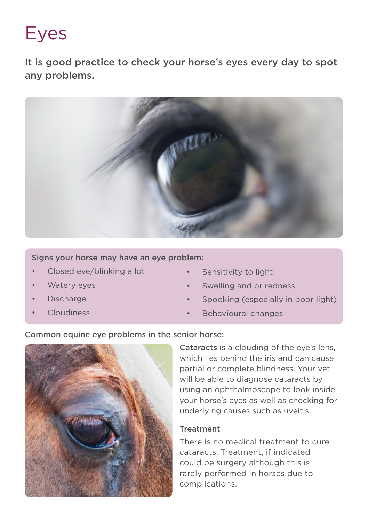## Eyes

It is good practice to check your horse's eyes every day to spot any problems.



Signs your horse may have an eye problem:

- Closed eye/blinking a lot
- Watery eyes
- **Discharge**
- Cloudiness
- Sensitivity to light
- Swelling and or redness
- Spooking (especially in poor light)
- Behavioural changes

#### Common equine eye problems in the senior horse:



Cataracts is a clouding of the eye's lens, which lies behind the iris and can cause partial or complete blindness. Your vet will be able to diagnose cataracts by using an ophthalmoscope to look inside your horse's eyes as well as checking for underlying causes such as uveitis.

#### **Treatment**

There is no medical treatment to cure cataracts. Treatment, if indicated could be surgery although this is rarely performed in horses due to complications.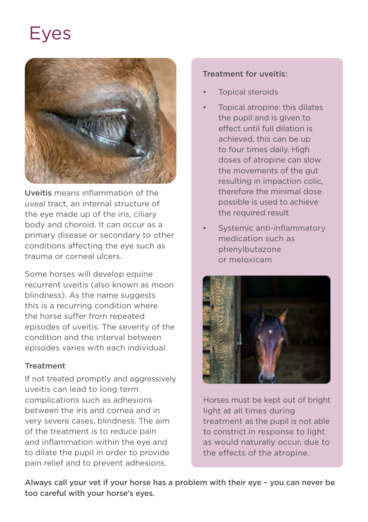## Eyes



Uveitis means inflammation of the uveal tract, an internal structure of the eye made up of the iris, ciliary body and choroid. It can occur as a primary disease or secondary to other conditions affecting the eye such as trauma or corneal ulcers.

Some horses will develop equine recurrent uveitis (also known as moon blindness). As the name suggests this is a recurring condition where the horse suffer from repeated episodes of uveitis. The severity of the condition and the interval between episodes varies with each individual.

#### Treatment

If not treated promptly and aggressively uveitis can lead to long term complications such as adhesions between the iris and cornea and in very severe cases, blindness. The aim of the treatment is to reduce pain and inflammation within the eye and to dilate the pupil in order to provide pain relief and to prevent adhesions.

#### Treatment for uveitis:

- Topical steroids
- Topical atropine: this dilates the pupil and is given to effect until full dilation is achieved, this can be up to four times daily. High doses of atropine can slow the movements of the gut resulting in impaction colic, therefore the minimal dose possible is used to achieve the required result
- Systemic anti-inflammatory medication such as phenylbutazone or meloxicam



Horses must be kept out of bright light at all times during treatment as the pupil is not able to constrict in response to light as would naturally occur, due to the effects of the atropine.

Always call your vet if your horse has a problem with their eye – you can never be too careful with your horse's eyes.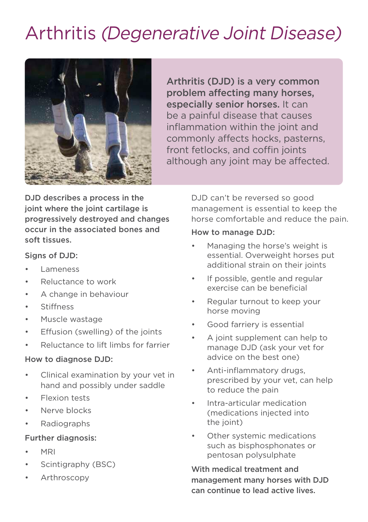# Arthritis (Degenerative Joint Disease)



Arthritis (DJD) is a very common problem affecting many horses, especially senior horses. It can be a painful disease that causes inflammation within the joint and commonly affects hocks, pasterns, front fetlocks, and coffin joints although any joint may be affected.

DJD describes a process in the joint where the joint cartilage is progressively destroyed and changes occur in the associated bones and soft tissues.

#### Signs of DJD:

- Lameness
- Reluctance to work
- A change in behaviour
- Stiffness
- Muscle wastage
- Effusion (swelling) of the joints
- Reluctance to lift limbs for farrier

#### How to diagnose DJD:

- Clinical examination by your vet in hand and possibly under saddle
- Flexion tests
- Nerve blocks
- Radiographs

#### Further diagnosis:

- MRI
- Scintigraphy (BSC)
- Arthroscopy

DJD can't be reversed so good management is essential to keep the horse comfortable and reduce the pain.

#### How to manage DJD:

- Managing the horse's weight is essential. Overweight horses put additional strain on their joints
- If possible, gentle and regular exercise can be beneficial
- Regular turnout to keep your horse moving
- Good farriery is essential
- A joint supplement can help to manage DJD (ask your vet for advice on the best one)
- Anti-inflammatory drugs, prescribed by your vet, can help to reduce the pain
- Intra-articular medication (medications injected into the joint)
- Other systemic medications such as bisphosphonates or pentosan polysulphate

With medical treatment and management many horses with DJD can continue to lead active lives.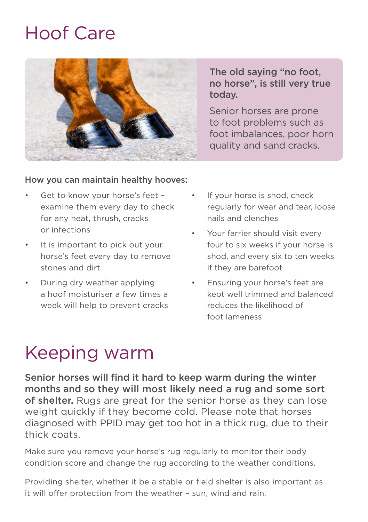# Hoof Care



## The old saying "no foot, no horse", is still very true today.

Senior horses are prone to foot problems such as foot imbalances, poor horn quality and sand cracks.

### How you can maintain healthy hooves:

- Get to know your horse's feet examine them every day to check for any heat, thrush, cracks or infections
- It is important to pick out your horse's feet every day to remove stones and dirt
- During dry weather applying a hoof moisturiser a few times a week will help to prevent cracks
- If your horse is shod, check regularly for wear and tear, loose nails and clenches
- Your farrier should visit every four to six weeks if your horse is shod, and every six to ten weeks if they are barefoot
- Ensuring your horse's feet are kept well trimmed and balanced reduces the likelihood of foot lameness

## Keeping warm

Senior horses will find it hard to keep warm during the winter months and so they will most likely need a rug and some sort of shelter. Rugs are great for the senior horse as they can lose weight quickly if they become cold. Please note that horses diagnosed with PPID may get too hot in a thick rug, due to their thick coats.

Make sure you remove your horse's rug regularly to monitor their body condition score and change the rug according to the weather conditions.

Providing shelter, whether it be a stable or field shelter is also important as it will offer protection from the weather – sun, wind and rain.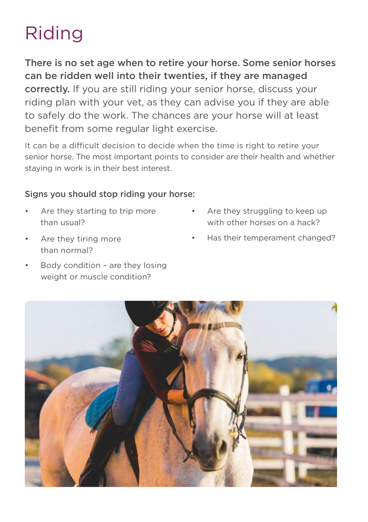# Riding

There is no set age when to retire your horse. Some senior horses can be ridden well into their twenties, if they are managed correctly. If you are still riding your senior horse, discuss your riding plan with your vet, as they can advise you if they are able to safely do the work. The chances are your horse will at least benefit from some regular light exercise.

It can be a difficult decision to decide when the time is right to retire your senior horse. The most important points to consider are their health and whether staying in work is in their best interest.

### Signs you should stop riding your horse:

- Are they starting to trip more than usual?
- Are they tiring more than normal?
- Body condition are they losing weight or muscle condition?
- Are they struggling to keep up with other horses on a hack?
- Has their temperament changed?

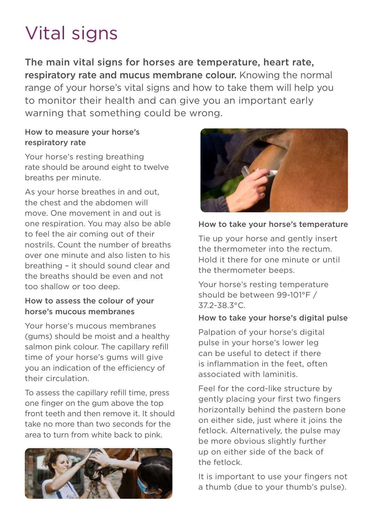# Vital signs

The main vital signs for horses are temperature, heart rate, respiratory rate and mucus membrane colour. Knowing the normal range of your horse's vital signs and how to take them will help you to monitor their health and can give you an important early warning that something could be wrong.

### How to measure your horse's respiratory rate

Your horse's resting breathing rate should be around eight to twelve breaths per minute.

As your horse breathes in and out, the chest and the abdomen will move. One movement in and out is one respiration. You may also be able to feel the air coming out of their nostrils. Count the number of breaths over one minute and also listen to his breathing – it should sound clear and the breaths should be even and not too shallow or too deep.

### How to assess the colour of your horse's mucous membranes

Your horse's mucous membranes (gums) should be moist and a healthy salmon pink colour. The capillary refill time of your horse's gums will give you an indication of the efficiency of their circulation.

To assess the capillary refill time, press one finger on the gum above the top front teeth and then remove it. It should take no more than two seconds for the area to turn from white back to pink.





#### How to take your horse's temperature

Tie up your horse and gently insert the thermometer into the rectum. Hold it there for one minute or until the thermometer beeps.

Your horse's resting temperature should be between 99-101°F / 37.2-38.3°C.

#### How to take your horse's digital pulse

Palpation of your horse's digital pulse in your horse's lower leg can be useful to detect if there is inflammation in the feet, often associated with laminitis.

Feel for the cord-like structure by gently placing your first two fingers horizontally behind the pastern bone on either side, just where it joins the fetlock. Alternatively, the pulse may be more obvious slightly further up on either side of the back of the fetlock.

It is important to use your fingers not a thumb (due to your thumb's pulse).